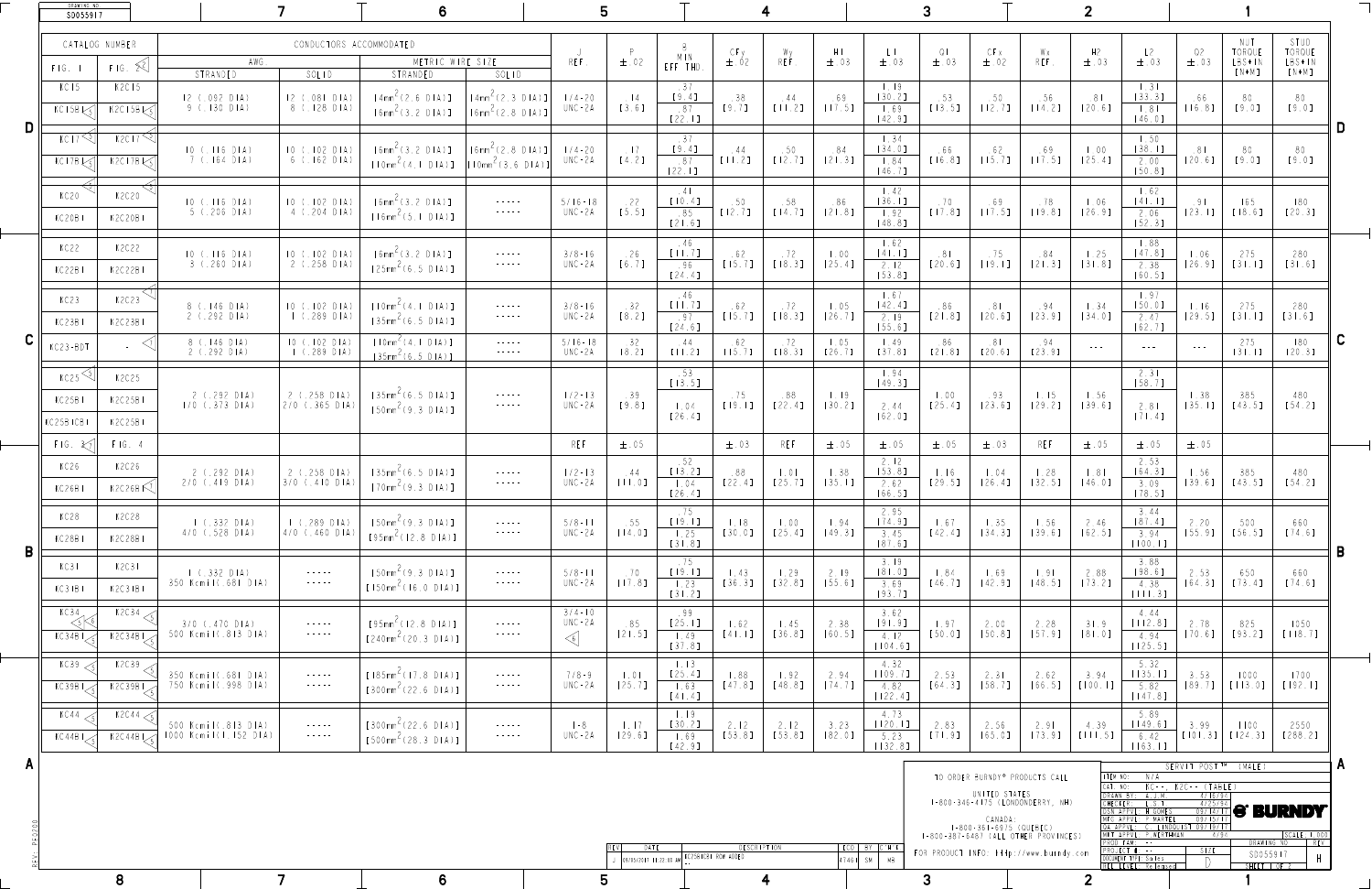|  | DRAWING NO.<br>SD055917                |                                    |                                              |                                                                                                                                                                                                                                                                                                                                                                        |                                                                                     |                                                                                                                                                                                                                                                                                                                                                                                                                                                                                                                                                                                                                             |                                                                                     |                                             |                                                                             |                                                                        |                                                                                            |                                |                                                                   |                                         |                                                                                                                                                                           |                                              |                                               |                                                                                                                                                                                                        |                                                        |                                               |                                     |          |
|--|----------------------------------------|------------------------------------|----------------------------------------------|------------------------------------------------------------------------------------------------------------------------------------------------------------------------------------------------------------------------------------------------------------------------------------------------------------------------------------------------------------------------|-------------------------------------------------------------------------------------|-----------------------------------------------------------------------------------------------------------------------------------------------------------------------------------------------------------------------------------------------------------------------------------------------------------------------------------------------------------------------------------------------------------------------------------------------------------------------------------------------------------------------------------------------------------------------------------------------------------------------------|-------------------------------------------------------------------------------------|---------------------------------------------|-----------------------------------------------------------------------------|------------------------------------------------------------------------|--------------------------------------------------------------------------------------------|--------------------------------|-------------------------------------------------------------------|-----------------------------------------|---------------------------------------------------------------------------------------------------------------------------------------------------------------------------|----------------------------------------------|-----------------------------------------------|--------------------------------------------------------------------------------------------------------------------------------------------------------------------------------------------------------|--------------------------------------------------------|-----------------------------------------------|-------------------------------------|----------|
|  | FIG.                                   | CATALOG NUMBER<br>$F[G, \Sigma^2]$ | AWG<br>STRANDED                              | CONDUCTORS ACCOMMODATED<br>SOLID                                                                                                                                                                                                                                                                                                                                       | METRIC WIRE SIZE<br>STRANDED                                                        | SOLID                                                                                                                                                                                                                                                                                                                                                                                                                                                                                                                                                                                                                       | REF.                                                                                | $\pm$ .02                                   | MIN<br>EFF THD.                                                             | $CFy$<br>$\pm .02$                                                     | Wy<br>REF.                                                                                 | $H1$<br>$\pm .03$              | $\begin{array}{c}\n\lfloor \ \rfloor \\ \pm \ 0 \ 3\n\end{array}$ | $\sqrt{2}$<br>$\pm$ .03                 | CFX<br>$\pm$ .02                                                                                                                                                          | – W x<br>REF.                                | H <sub>2</sub><br>$\pm$ .03                   | L2<br>$\pm$ .03                                                                                                                                                                                        | Q2<br>$\pm$ .03                                        | NUT<br>TORQUE<br>LBS*IN<br>$[N*M]$            | STUD<br>TORQUE<br>LBS*IN<br>$[N*M]$ |          |
|  | KC 15<br>$KC15B\downarrow$             | K2C15<br>$K2C15B\sqrt{5}$          | 12 (092 DIA)<br>9(.130 DIA)                  | 12 (.081 DIA)<br>8 (.128 DIA)                                                                                                                                                                                                                                                                                                                                          | [4mm <sup>2</sup> (2.6 DIA)]<br>$[6mm^2(3.2 DIA)]$                                  | $[4mm2 (2.3 DIA)]$<br>$ Gamma^2(2.8 DIA)]$                                                                                                                                                                                                                                                                                                                                                                                                                                                                                                                                                                                  | $1/4 - 20$<br>$UNC - 2A$                                                            | $\frac{1}{4}$<br>$[3.6]$                    | .37<br>$[9.4]$<br>.87<br>[22.1]                                             | .38<br>[9.7]                                                           | .44<br>$[11, 2]$                                                                           | .69<br>[17.5]                  | $\vert$ . 19<br>$[30.2]$<br>1.69<br>$[42.9]$                      | .53<br>$[13.5]$                         | $\begin{array}{c} .50 \\ \text{L}12.71 \end{array}$                                                                                                                       | .56<br>$[14.2]$                              | 81<br>$[20.6]$                                | $\vert .3 \vert$<br>[33.3]<br> 8 <br>$[46.0]$                                                                                                                                                          | 66<br>[16.8]                                           | 80<br>[9.0]                                   | 80<br>[9.0]                         |          |
|  | KC17 <sup>&lt;5</sup><br>$KC17B\leq 1$ | K2C175<br>$K2C17B\leqslant 5$      | $10(.116)$ $D1A)$<br>$7$ (.164 DIA)          | 10(.102 D1A)<br>6 (.162 DIA)                                                                                                                                                                                                                                                                                                                                           | $[6mm^{\angle}$ (3.2 $D A)$ )<br>$[10mm^2(4.1 DIA)]$ $[10mm^2(3.6 DIA)]$            | $\left[6mm^{2}(2.8 DIA)]\right]$                                                                                                                                                                                                                                                                                                                                                                                                                                                                                                                                                                                            | $1/4 - 20$<br>$UNC - 2A$                                                            | $\frac{1}{2}$<br>[4.2]                      | $[9.4]$<br>.87<br>[22.1]                                                    | .44<br>[11.2]                                                          | .50<br>$[12.7]$                                                                            | .84<br>$[21.3]$                | 1.34<br>$[34.0]$<br>1.84<br>$[46.7]$                              | .66<br>$[16.8]$                         | .62<br>$[15.7]$                                                                                                                                                           | .69<br>[17.5]                                | $\vert$ .00<br>$[25.4]$                       | 1.50<br>[38.1]<br>2.00<br>[50.8]                                                                                                                                                                       | .81<br>$[20.6]$                                        | 80<br>[9.0]                                   | 80<br>[9.0]                         |          |
|  | KC20<br>KC20BI                         | K2C20<br>K2C20BI                   | $10(.116)$ $D1A)$<br>$5$ (.206 DIA)          | 10 (102 D1A)<br>4 (.204 DIA)                                                                                                                                                                                                                                                                                                                                           | $[6mm^{\prime}(3.2 DIA)]$<br>$[16mm^2(5.1 DIA)]$                                    | $\gamma = \gamma = \gamma = \gamma = \gamma$<br>$\alpha\rightarrow\alpha\rightarrow\alpha\rightarrow\alpha\rightarrow\alpha\gamma$                                                                                                                                                                                                                                                                                                                                                                                                                                                                                          | $5/16 - 18$<br>$UNC - 2A$                                                           | .22<br>[5.5]                                | $\therefore$ 4<br>$[10.4]$<br>.85<br>$[21.6]$                               | .50<br>$[12.7]$                                                        | .58<br>$[14.7]$                                                                            | .86<br>[21.8]                  | $\vert$ .42<br>[36.1]<br>1.92<br>$[48.8]$                         | .70<br>$[17.8]$                         | .69<br>$[17.5]$                                                                                                                                                           | .78<br>$[19.8]$                              | $\vert 06$<br>[26.9]                          | 1.62<br>$[41, 1]$<br>2.06<br>[52.3]                                                                                                                                                                    | .9 <sub>1</sub><br>[23.11]                             | 165<br>$[18.6]$                               | 180<br>$[20.3]$                     |          |
|  | KC22<br>KC22BI                         | K2C22<br>K2C22BI                   | $3$ (.260 DIA)                               | 2 (.258 DIA)                                                                                                                                                                                                                                                                                                                                                           | $10$ (.116 DIA) $10$ (.102 DIA) [6mm <sup>2</sup> (3.2 DIA)]<br>$[25mm^2(6.5 DIA)]$ | $\mathcal{L} \mathcal{L} = \mathcal{L} \mathcal{L} = \mathcal{L} \mathcal{L} \mathcal{L} \mathcal{L} \mathcal{L} \mathcal{L} \mathcal{L} \mathcal{L} \mathcal{L} \mathcal{L} \mathcal{L} \mathcal{L} \mathcal{L} \mathcal{L} \mathcal{L} \mathcal{L} \mathcal{L} \mathcal{L} \mathcal{L} \mathcal{L} \mathcal{L} \mathcal{L} \mathcal{L} \mathcal{L} \mathcal{L} \mathcal{L} \mathcal{L} \mathcal{L} \mathcal{L} \mathcal{L} \mathcal{L} \mathcal{L} \math$                                                                                                                                                                 | $3/8 - 16$<br>UNC-2A                                                                | .26<br>[6.7]                                | .46<br>[11.7]<br>.96<br>$[24.4]$                                            | .62                                                                    | .72<br>$[15.7]$ $[18.3]$                                                                   | $\vert 00 \rangle$<br>[25.4]   | 1.62<br>$[4 \mid . \mid ]$<br>2.12<br>[53.8]                      | $\circ$ . $\circ$ $\circ$<br>$[20.6]$   | .75<br>$[19.1]$                                                                                                                                                           | .84<br>$\begin{bmatrix} 2 & 3 \end{bmatrix}$ | 1.25<br>[31.8]                                | $\vert .88 \vert$<br>2.38<br>$[60.5]$                                                                                                                                                                  |                                                        | $[26.9]$ $[31.1]$                             | 280<br>$[31.6]$                     |          |
|  | KC23<br>KC23BI                         | K2C23<br>K2C23BI                   | 8 (.146 DIA)<br>$2$ (.292 DIA)               | 1 (.289 DIA)                                                                                                                                                                                                                                                                                                                                                           | $10$ (.102 DIA) [ $10mm^2$ (4.1 DIA)]<br>$[35mm^2(6.5 DIA)]$                        | $\begin{array}{cccccccccccccc} - & - & - & - & - & - & - & \end{array}$<br>$\mathcal{A} = \mathcal{A} + \mathcal{A} + \mathcal{A} + \mathcal{A} + \mathcal{A} + \mathcal{A} + \mathcal{A} + \mathcal{A} + \mathcal{A} + \mathcal{A} + \mathcal{A} + \mathcal{A} + \mathcal{A} + \mathcal{A} + \mathcal{A} + \mathcal{A} + \mathcal{A} + \mathcal{A} + \mathcal{A} + \mathcal{A} + \mathcal{A} + \mathcal{A} + \mathcal{A} + \mathcal{A} + \mathcal{A} + \mathcal{A} + \mathcal{A} + \mathcal{A} + \mathcal{A} + \mathcal{A} + \mathcal$                                                                                     | $3/8 - 16$<br>UNC-2A                                                                | .32<br>[8.2]                                | .46<br>[   , 7]<br>.97<br>$[24.6]$                                          |                                                                        | $\begin{array}{ c c c c c c } \hline .62 & .72 & .72 & .75.71 & .18.31 \hline \end{array}$ | $\vert 0.5 \vert$<br>[26.7]    | 1.67<br>$[42.4]$<br>2.19<br>[55.6]                                | .86<br>$[21.8]$                         | .81<br>$[20.6]$                                                                                                                                                           | $94$<br>$[23.9]$                             | $\vert$ .34<br>$[34.0]$                       | 1.97<br>[50.0]<br>2.47<br>$[62.7]$                                                                                                                                                                     | 1.16<br>[29.5]                                         | 275                                           | 280<br>$[31.6]$                     |          |
|  | KC23-BDT                               |                                    | 8 (.146 DIA)<br>2 (.292 DIA)                 | 10 (.102 D1A)<br>$1$ (.289 DIA)                                                                                                                                                                                                                                                                                                                                        | $[10mm^{\sim} (4.1 DIA)]$<br>$[35mm^2(6.5 DIA)]$                                    | $\alpha = \alpha = \alpha = \alpha$<br>$\alpha = \alpha = \alpha = \alpha = \alpha$                                                                                                                                                                                                                                                                                                                                                                                                                                                                                                                                         | $5/16 - 18$<br>UNC - 2 A                                                            | .32<br>$[8.2]$                              | .44<br>$[ \mid \mid \cdot \mid \cdot \mid \cdot \mid \cdot \mid \cdot \mid$ | .62<br>$[15.7]$                                                        | .72<br>$[18.3]$                                                                            | $\vert 0.05 \vert$<br>$[26.7]$ | 1.49<br>[37.8]                                                    | .86<br>$[21.8]$                         | .81<br>$[20.6]$                                                                                                                                                           | $.94$<br>[23.9]                              | $\mathcal{L} = \mathcal{L} = \mathcal{L} = 0$ | $\mathcal{L} = \mathcal{L} \mathcal{L} = \mathcal{L} \mathcal{L}$                                                                                                                                      | $\alpha = \alpha + \alpha = 0$                         | 275<br>[3 1]                                  | 180<br>$[20.3]$                     |          |
|  | KC25<br>KC25B1<br>KC25BICB             | K2C25<br>K2C25BI<br>K2C25BI        | $2$ (.292 DIA)<br>$1/0$ (.373 DIA)           | 2 (.258 DIA)<br>$2/0$ (.365 DIA)                                                                                                                                                                                                                                                                                                                                       | $[35mm^2(6.5 DIA)]$<br>$[50mm^2(9.3 DIA)]$                                          |                                                                                                                                                                                                                                                                                                                                                                                                                                                                                                                                                                                                                             | $1/2 - 13$<br>$UNC - 2A$                                                            | .39<br>[9.8]                                | .53<br>$[13.5]$<br>$\vert 04$<br>$[26.4]$                                   | .75<br>$\begin{array}{c c c c c c c} \hline & 1 & 9 & 1 & \end{array}$ | .88<br>$[22.4]$                                                                            | $\vert$ . 19<br>$[30.2]$       | 1.94<br>$[49.3]$<br>2.44<br>$[62.0]$                              | $\vert 00 \rangle$<br>$[25.4]$          | .93<br>$[23.6]$                                                                                                                                                           | $\vert$ . $\vert$ 5<br>$[29.2]$              | 1.56<br>[39.6]                                | 2.31<br>[58.7]<br>2.81<br>$[71.4]$                                                                                                                                                                     | 1.38<br>[35.1]                                         | 385<br>$[43.5]$                               | 480<br>$[54.2]$                     |          |
|  | FIG. 37                                | FIG. 4                             |                                              |                                                                                                                                                                                                                                                                                                                                                                        |                                                                                     |                                                                                                                                                                                                                                                                                                                                                                                                                                                                                                                                                                                                                             | REF                                                                                 | $\pm$ .05                                   |                                                                             | $\pm$ .03                                                              | REF                                                                                        | $\pm$ .05                      | $\pm$ .05                                                         | $\pm$ .05                               | $\pm$ .03                                                                                                                                                                 | REF                                          | $\pm$ .05                                     | $\pm$ .05                                                                                                                                                                                              | $\pm$ .05                                              |                                               |                                     |          |
|  | KC26<br>KC26BI                         | K2C26<br>K2C26B <sup>7</sup>       | $2$ (.292 DIA)<br>$2/0$ (.419 DIA)           | $3/0$ (.410 DIA)                                                                                                                                                                                                                                                                                                                                                       | 2 (.258 DIA)   [35mm <sup>2</sup> (6.5 DIA)]<br>$[70mm^2(9.3 DIA)]$                 | $\label{eq:4} \begin{array}{rcl} \mathcal{L}_{\mathcal{A}}(\mathcal{A}) & = & \mathcal{L}_{\mathcal{A}}(\mathcal{A}) & = & \mathcal{L}_{\mathcal{A}}(\mathcal{A}) \end{array}$<br>$\mathcal{A}^{\mathcal{A}}\mathcal{A}^{\mathcal{A}}\mathcal{A}^{\mathcal{A}}\mathcal{A}^{\mathcal{A}}\mathcal{A}^{\mathcal{A}}\mathcal{A}^{\mathcal{A}}\mathcal{A}^{\mathcal{A}}\mathcal{A}^{\mathcal{A}}\mathcal{A}^{\mathcal{A}}\mathcal{A}^{\mathcal{A}}\mathcal{A}^{\mathcal{A}}\mathcal{A}^{\mathcal{A}}\mathcal{A}^{\mathcal{A}}\mathcal{A}^{\mathcal{A}}\mathcal{A}^{\mathcal{A}}\mathcal{A}^{\mathcal{A}}\mathcal{A}^{\mathcal{A$ | $1/2 - 13$<br>UNC-2A                                                                | .44<br>$[ \ \ ] \ \ [ \ \ ]$                | .52<br>$[13.2]$<br>$\vert 04$<br>[26.4]                                     | .88<br>[22.4]                                                          | $\vert$ 0<br>$[25.7]$                                                                      | 1.38<br>[35.1]                 | 2.12<br>[53.8]<br>2.62<br>$[66.5]$                                | $\lfloor .16 \rfloor$<br>$[29.5]$       | $\vert 04$<br>$[26.4]$                                                                                                                                                    | 1.28<br>[32.5]                               | $\vert$ . $8 \vert$<br>$[46.0]$               | 2.53<br>[64.3]<br>3.09<br>$[78.5]$                                                                                                                                                                     | 1.56<br>$[39.6]$                                       | 385<br>$[43.5]$                               | 480<br>$[54.2]$                     |          |
|  | KC28<br>KC28B                          | K2C28<br>K2C28BI                   | 1 (.332 DIA)<br>$4/0$ (.528 DIA)             | $\left( .289 \text{ D} \right)$<br>$4/0$ (.460 DIA)                                                                                                                                                                                                                                                                                                                    | $[50mm^2(9.3 DIA)]$<br>$[95mm^2(12.8 DIA)]$                                         | $\mathcal{A} = \mathcal{A} + \mathcal{A} + \mathcal{A} + \mathcal{A}$                                                                                                                                                                                                                                                                                                                                                                                                                                                                                                                                                       | $5/8 - 11$<br>UNC-2A                                                                | . 55<br>$[14.0]$                            | .75<br>$[19.1]$<br>1.25<br>[31.8]                                           | $\vert \cdot \vert$ 8<br>$[30.0]$                                      | $\vert$ .00<br>$[25.4]$                                                                    | 1.94<br>$[49.3]$               | 2.95<br>$[74.9]$<br>3.45<br>[87.6]                                | 1.67<br>$[42.4]$                        | 1.35<br>$[34.3]$                                                                                                                                                          | 1.56<br>$[39.6]$                             | 2.46<br>$[62.5]$                              | 3.44<br>[87.4]<br>3.94<br>[100.1]                                                                                                                                                                      | 2.20<br>$[55.9]$                                       | 500<br>[56.5]                                 | 660<br>$[74.6]$                     |          |
|  | KC3<br>KC3IBI                          | K2C31<br>K2C3IB                    | $1$ (.332 DIA)<br>350 Kcmil(.681 DIA)        | $\label{eq:4} \begin{array}{rcl} \mathcal{L}_{\mathcal{A}}(\mathcal{A}) & = & \mathcal{L}_{\mathcal{A}}(\mathcal{A}) & = & \mathcal{L}_{\mathcal{A}}(\mathcal{A}) \end{array}$<br>$\label{eq:4} \begin{array}{lllllllllll} \begin{array}{lllllllllllllllllllll} \alpha_{\rm{max}} & \alpha_{\rm{max}} & \alpha_{\rm{max}} & \alpha_{\rm{max}} \end{array} \end{array}$ | $[50mm^{\circ} (9.3 DIA)]$<br>$[150mm^2(16.0 DIA)]$                                 | $\mathcal{A} = \mathcal{A} + \mathcal{A} + \mathcal{A} + \mathcal{A}$                                                                                                                                                                                                                                                                                                                                                                                                                                                                                                                                                       | $5/8 - 11$<br>$UNC - 2A$                                                            | .70<br>$[17.8]$                             | .75<br>$[19.1]$<br>1.23<br>$[31.2]$                                         | 1.43<br>[36.3]                                                         | 1.29<br>[32.8]                                                                             | 2.19<br>[55.6]                 | 3.19<br>$[81.0]$<br>3.69<br>$[93.7]$                              | 1.84<br>$[46.7]$                        | 1.69<br>$[42.9]$                                                                                                                                                          | $\left  . 9 \right $<br>[48.5]               | 2.88<br>[73.2]                                | 3.88<br>$[98.6]$<br>4.38<br>[   , 3]                                                                                                                                                                   | 2.53                                                   | 650<br>$[64.3]$ $[73.4]$                      | 660<br>$[74.6]$                     |          |
|  | KC34<br>KC34B1                         | K2C34<br>K2C34B1                   | $3/0$ (.470 DIA)<br>500 Kcmil(.813 DIA)      | $\gamma = \gamma = \gamma = \gamma = \gamma$                                                                                                                                                                                                                                                                                                                           | $[95mm^2(12.8 DIA)]$<br>$[240mm^2(20.3 DIA)]$                                       | $\label{eq:4} \begin{array}{rcl} \mathcal{L}_{\mathcal{A}}(x) & = & \mathcal{L}_{\mathcal{A}}(x) & = & \mathcal{L}_{\mathcal{A}}(x) \\ \end{array}$<br>$\alpha\rightarrow\alpha\rightarrow\alpha\rightarrow\alpha\rightarrow\alpha\gamma$                                                                                                                                                                                                                                                                                                                                                                                   | $3/4 - 10$<br>UNC-2A<br>$\left\langle \begin{array}{c} 6 \end{array} \right\rangle$ | .85<br>$[21.5]$                             | .99<br>[25.1]<br>1.49<br>$[37.8]$                                           | 1.62                                                                   | $\vert$ . 45<br>$[41.1]$ $[36.8]$                                                          | 2.38<br>[60.5]                 | 3.62<br>$[91.9]$<br>4.12<br>$[104.6]$                             | 1.97<br>$[50.0]$                        | 2.00<br>[50.8]                                                                                                                                                            | 2.28<br>$[57.9]$                             | 31.9<br>[81.0]                                | 4.44<br>$[112.8]$<br>4.94<br>$[125.5]$                                                                                                                                                                 | 2.78<br>$[70.6]$                                       | 825<br>$[93.2]$                               | 1050<br>[118.7]                     |          |
|  | KC39,<br>KC39BI                        | K2C39<br>K2C39B1                   | 350 Kcmil(.681 DIA)<br>750 Kcmil(.998 DIA)   | $\alpha = \alpha = \alpha = \alpha$<br>$\label{eq:2.1} \begin{array}{cccccccccc} \ddots & \dotsc & \dotsc & \dotsc & \dotsc & \dotsc & \dotsc \end{array}$                                                                                                                                                                                                             | $[185mm^2(17.8 DIA)]$<br>$[300mm^2(22.6 DIA)]$                                      | $\label{eq:2.1} \begin{array}{cccccccccc} \ddots & \dotsc & \dotsc & \dotsc & \dotsc & \dotsc & \dotsc \end{array}$<br>$\alpha\rightarrow\alpha\rightarrow\alpha\rightarrow\alpha\gamma$                                                                                                                                                                                                                                                                                                                                                                                                                                    | $7/8 - 9$<br>UNC-2A                                                                 | $\vert$ $\vert$ $\vert$ 0 $\vert$<br>[25.7] | $\vert$ . $\vert$ 3<br>$[25.4]$<br>1.63<br>$[41.4]$                         | 1.88<br>$[47.8]$                                                       | 1.92<br>[48.8]                                                                             | 2.94<br>[74.7]                 | 4.32<br>[109.7]<br>4.82<br>[122.4]                                | 2.53<br>$[64.3]$                        | 2.31<br>[58.7]                                                                                                                                                            | 2.62                                         | 3.94<br>$[66.5]$ $[100.1]$                    | 5.32<br>$[135.1]$<br>5.82<br>$[147.8]$                                                                                                                                                                 | 3.53                                                   | 1000<br>$[89.7]$ $[113.0]$                    | 1700<br>[192.1]                     |          |
|  | KC 44<br>KCAABL                        | K2C44<5<br>K2C44B1                 | 500 Kcmil(.813 DIA)<br>1000 Kcmil(1.152 DIA) | $\alpha = \alpha - \alpha = \alpha - \alpha$                                                                                                                                                                                                                                                                                                                           | $[300mm^2(22.6 DIA)]$<br>$[500mm^2(28.3 DIA)]$                                      | $\label{eq:2.1} \begin{array}{cccccccccccccc} \bullet & \bullet & \bullet & \bullet & \bullet & \bullet & \bullet & \bullet \end{array}$                                                                                                                                                                                                                                                                                                                                                                                                                                                                                    | $  - 8$<br>UNC-2A                                                                   | $\vert$ .   7<br>$[29.6]$                   | $\lfloor . \rfloor 9$<br>[30.2]<br>1.69<br>$[42.9]$                         | 2.12<br>[53.8]                                                         | 2.12<br>$[53.8]$                                                                           | 3.23<br>[82.0]                 | 4.73<br>$[120.1]$<br>5.23<br>[132.8]                              | 2.83<br>$[71.9]$                        | 2.56<br>[65.0]                                                                                                                                                            | 2.91                                         | 4.39<br>$[73.9]$ $[      5]$                  | 5.89<br>$[149.6]$<br>6.42<br>[163.1]                                                                                                                                                                   | 3.99                                                   | 1100<br>$[101.3]$ $[124.3]$                   | 2550<br>[288.2]                     |          |
|  |                                        |                                    |                                              |                                                                                                                                                                                                                                                                                                                                                                        |                                                                                     |                                                                                                                                                                                                                                                                                                                                                                                                                                                                                                                                                                                                                             |                                                                                     | DATE<br>RE VI                               | J 09/05/2017 11:22:00 AM KC25BICBI ROW ADDED                                | DESCRIPTION                                                            |                                                                                            |                                | <u>  ECO   BY  C'H'K.</u><br>$ 47461 $ SM $ $ MB                  | FOR PRODUCT INFO: http://www.burndy.com | TO ORDER BURNDY® PRODUCTS CALL<br>UNITED STATES<br>I-800-346-4175 (LONDONDERRY, NH)<br>CANADA:<br>$1 - 800 - 361 - 6975$ (QUEBEC)<br>I-800-387-6487 (ALL OTHER PROVINCES) |                                              | ITEM NO:<br>CAT. NO:                          | DRAWN BY: A.J.M.<br>CHECKER: L.S.T.<br>DSN APPVL: H GOMES<br>  MFG APPVL: P MARTE<br>OA APPVL: C. LINDQUIST 09/19/11<br>MKT APPVL: P.WERTHMAN<br>PROD FAM: --<br>PROJECT #: --<br>DOCUMENT TYPE: Sales | KC--, K2C-- (TABLE)<br>4/16/94<br>09/1<br>4/94<br>SIZE | SERVIT POST™ (MALE)<br>DRAWING NO<br>SD055917 | <b>S. BUKNDA</b><br> SCALE: 1.000   | $\Gamma$ |
|  |                                        | 8                                  |                                              |                                                                                                                                                                                                                                                                                                                                                                        | $\mathbf C$                                                                         |                                                                                                                                                                                                                                                                                                                                                                                                                                                                                                                                                                                                                             |                                                                                     |                                             |                                                                             |                                                                        |                                                                                            |                                |                                                                   |                                         |                                                                                                                                                                           |                                              |                                               | RFI IFVEL: Released                                                                                                                                                                                    |                                                        | $SHFFT + OF2$                                 |                                     |          |